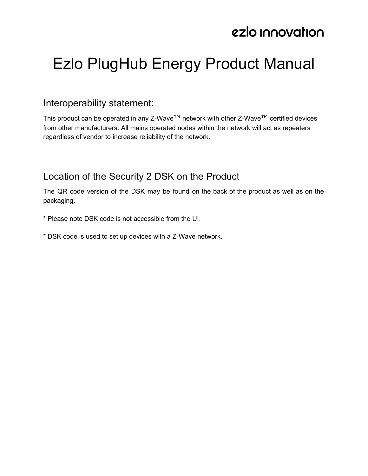# Ezlo PlugHub Energy Product Manual

#### Interoperability statement:

This product can be operated in any Z-Wave™ network with other Z-Wave™ certified devices from other manufacturers. All mains operated nodes within the network will act as repeaters regardless of vendor to increase reliability of the network.

### Location of the Security 2 DSK on the Product

The QR code version of the DSK may be found on the back of the product as well as on the packaging.

- \* Please note DSK code is not accessible from the UI.
- \* DSK code is used to set up devices with a Z-Wave network.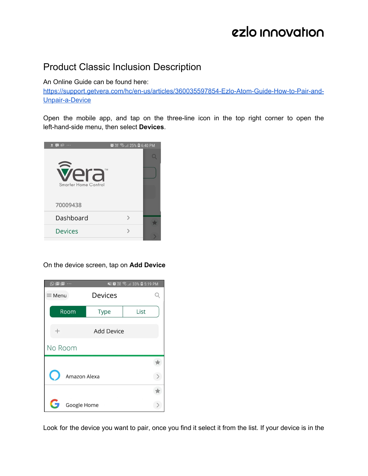### Product Classic Inclusion Description

An Online Guide can be found here:

[https://support.getvera.com/hc/en-us/articles/360035597854-Ezlo-Atom-Guide-How-to-Pair-and-](https://support.getvera.com/hc/en-us/articles/360035597854-Ezlo-Atom-Guide-How-to-Pair-and-Unpair-a-Device)[Unpair-a-Device](https://support.getvera.com/hc/en-us/articles/360035597854-Ezlo-Atom-Guide-How-to-Pair-and-Unpair-a-Device)

Open the mobile app, and tap on the three-line icon in the top right corner to open the left-hand-side menu, then select **Devices**.



On the device screen, tap on **Add Device**



Look for the device you want to pair, once you find it select it from the list. If your device is in the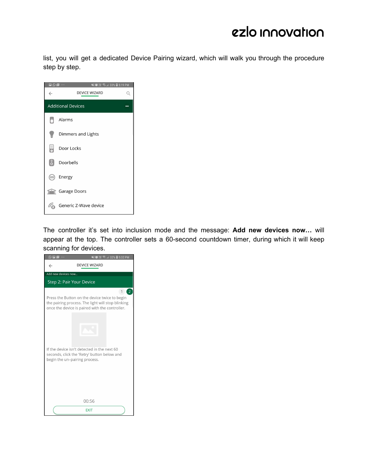list, you will get a dedicated Device Pairing wizard, which will walk you through the procedure step by step.

| $\leftarrow$ | $\square$ $\odot$ $\square$ $\cdots$<br>¥≸ ®∰ %ि॥ 33% ■ 5:19 PM<br><b>DEVICE WIZARD</b> |  |  |  |  |
|--------------|-----------------------------------------------------------------------------------------|--|--|--|--|
|              | <b>Additional Devices</b>                                                               |  |  |  |  |
|              | Alarms                                                                                  |  |  |  |  |
|              | Dimmers and Lights                                                                      |  |  |  |  |
| 5            | Door Locks                                                                              |  |  |  |  |
|              | Doorbells                                                                               |  |  |  |  |
| $rac{1}{2}$  | Energy                                                                                  |  |  |  |  |
|              | <b>Tarage Doors</b>                                                                     |  |  |  |  |
|              | Generic Z-Wave device                                                                   |  |  |  |  |

The controller it's set into inclusion mode and the message: **Add new devices now…** will appear at the top. The controller sets a 60-second countdown timer, during which it will keep scanning for devices.

| $\odot$ $\blacksquare$ $\blacksquare$ $\cdots$ | ¥{ @ {# ?   32% ■ 5:32 PM                                                                                                                                      |
|------------------------------------------------|----------------------------------------------------------------------------------------------------------------------------------------------------------------|
| $\leftarrow$                                   | <b>DEVICE WIZARD</b>                                                                                                                                           |
| Add new devices now                            |                                                                                                                                                                |
| Step 2: Pair Your Device                       |                                                                                                                                                                |
|                                                | 2<br>1<br>Press the Button on the device twice to begin<br>the pairing process. The light will stop blinking<br>once the device is paired with the controller. |
|                                                |                                                                                                                                                                |
|                                                | If the device isn't detected in the next 60<br>seconds, click the 'Retry' button below and<br>begin the un-pairing process.                                    |
|                                                | 00:56                                                                                                                                                          |
|                                                | <b>EXIT</b>                                                                                                                                                    |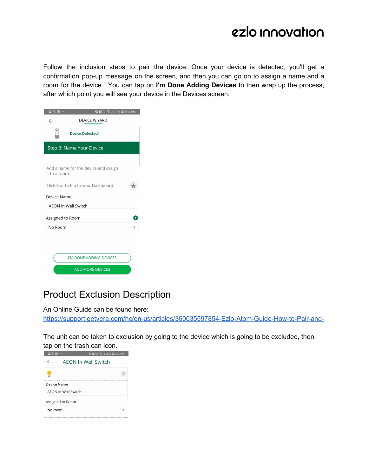Follow the inclusion steps to pair the device. Once your device is detected, you'll get a confirmation pop-up message on the screen, and then you can go on to assign a name and a room for the device. You can tap on **I'm Done Adding Devices** to then wrap up the process, after which point you will see your device in the Devices screen.

| $\square$ $\odot$ $\square$ $\cdots$      |                                                                              |  |  |  |  |  |
|-------------------------------------------|------------------------------------------------------------------------------|--|--|--|--|--|
| $\leftarrow$                              | <b>DEVICE WIZARD</b>                                                         |  |  |  |  |  |
|                                           | <b>Device Detected!</b>                                                      |  |  |  |  |  |
| Step 3: Name Your Device                  |                                                                              |  |  |  |  |  |
| it to a room.                             | Add a name for the device and assign<br>Click Star to Pin to your Dashboard. |  |  |  |  |  |
| Device Name<br><b>AEON In Wall Switch</b> |                                                                              |  |  |  |  |  |
| Assigned to Room<br>No Room               |                                                                              |  |  |  |  |  |
|                                           | I'M DONE ADDING DEVICES<br><b>ADD MORE DEVICES</b>                           |  |  |  |  |  |
|                                           |                                                                              |  |  |  |  |  |

### Product Exclusion Description

An Online Guide can be found here:

[https://support.getvera.com/hc/en-us/articles/360035597854-Ezlo-Atom-Guide-How-to-Pair-and-](https://support.getvera.com/hc/en-us/articles/360035597854-Ezlo-Atom-Guide-How-to-Pair-and-Unpair-a-Device)

The unit can be taken to exclusion by going to the device which is going to be excluded, then tap on the trash can icon.

| <b>EI QIM</b> | .                          |                            |
|---------------|----------------------------|----------------------------|
|               |                            | <b>AEON In Wall Switch</b> |
|               |                            |                            |
|               | Device Name                |                            |
|               | <b>AFON In Wall Switch</b> |                            |
|               | Assigned to Room           |                            |
| No room       |                            |                            |
|               |                            |                            |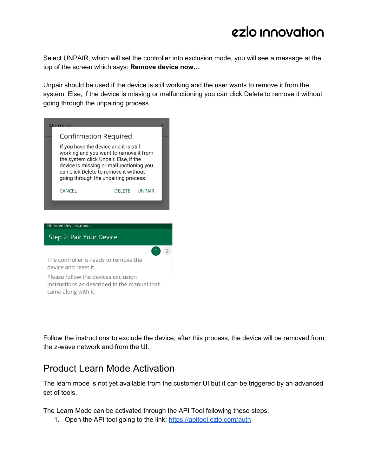Select UNPAIR, which will set the controller into exclusion mode, you will see a message at the top of the screen which says: **Remove device now…**

Unpair should be used if the device is still working and the user wants to remove it from the system. Else, if the device is missing or malfunctioning you can click Delete to remove it without going through the unpairing process.

| <u>No roo</u><br>Confirmation Required<br>If you have the device and it is still<br>working and you want to remove it from<br>the system click Unpair. Else, if the<br>device is missing or malfunctioning you<br>can click Delete to remove it without<br>going through the unpairing process. |                    |               |               |  |  |  |
|-------------------------------------------------------------------------------------------------------------------------------------------------------------------------------------------------------------------------------------------------------------------------------------------------|--------------------|---------------|---------------|--|--|--|
|                                                                                                                                                                                                                                                                                                 | CANCEL             | <b>DELETE</b> | <b>UNPAIR</b> |  |  |  |
|                                                                                                                                                                                                                                                                                                 |                    |               |               |  |  |  |
|                                                                                                                                                                                                                                                                                                 | Remove devices now |               |               |  |  |  |
| Step 2: Pair Your Device                                                                                                                                                                                                                                                                        |                    |               |               |  |  |  |
|                                                                                                                                                                                                                                                                                                 |                    |               |               |  |  |  |
| The controller is ready to remove the<br>device and reset it.                                                                                                                                                                                                                                   |                    |               |               |  |  |  |
| Please follow the devices exclusion<br>instructions as described in the manual that                                                                                                                                                                                                             |                    |               |               |  |  |  |

came along with it.

Follow the instructions to exclude the device, after this process, the device will be removed from the z-wave network and from the UI.

### Product Learn Mode Activation

The learn mode is not yet available from the customer UI but it can be triggered by an advanced set of tools.

The Learn Mode can be activated through the API Tool following these steps:

1. Open the API tool going to the link: <https://apitool.ezlo.com/auth>